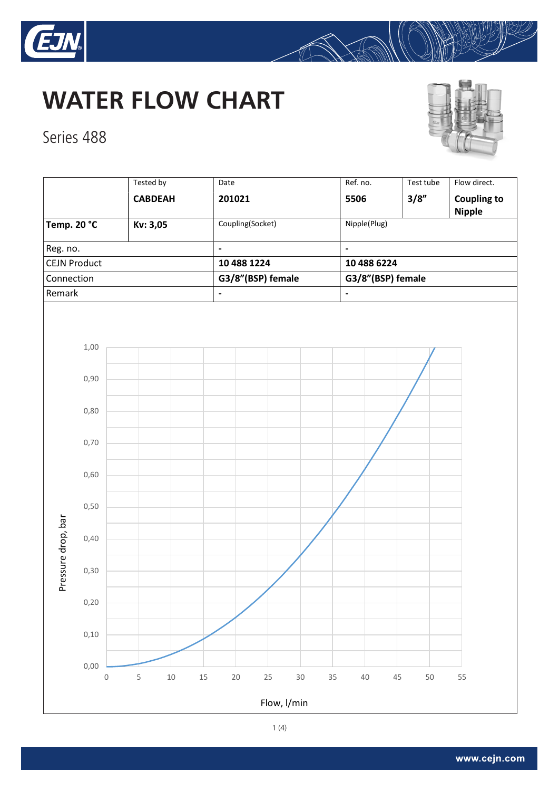

Series 488





Tested by Test | Date | Date | Ref. no. | Test tube | Flow direct. CABDEAH 201021 5506 3/8" Coupling to Nipple Temp. 20 °C Kv: 3,05 Coupling(Socket) Nipple(Plug) Reg. no.  $\vert$  -  $\vert$  -  $\vert$  -  $\vert$  -  $\vert$  -  $\vert$  -  $\vert$  -  $\vert$  -CEJN Product 10 488 1224 10 488 6224 Connection G3/8"(BSP) female G3/8"(BSP) female Remark 2008 - 2008 - 2009 - 2009 - 2009 - 2009 - 2009 - 2009 - 2009 - 2009 - 2009 - 2009 - 2009 - 2009 - 2009 -1,00 0,90 0,80 0,70 0,60 0,50 Pressure drop, bar Pressure drop, bar 0,40 0,30 0,20 0,10 0,00 0 5 10 15 20 25 30 35 40 45 50 55 Flow, l/min

 $\mathbb{R}$ 

1 (4)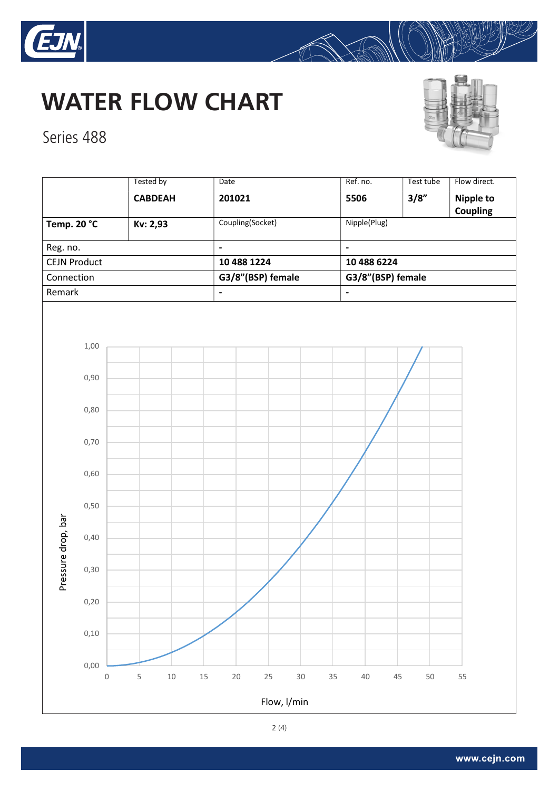

## **WATER FLOW CHART**



Series 488

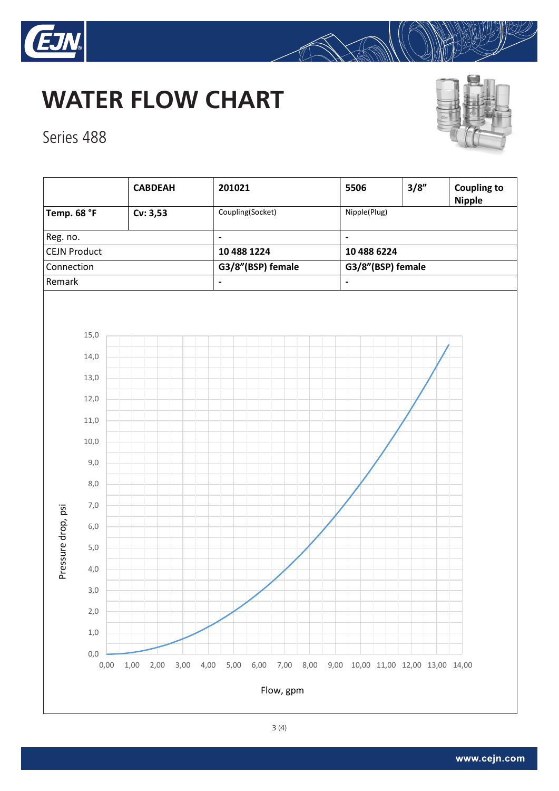

## **WATER FLOW CHART**



Series 488



A

3(4)